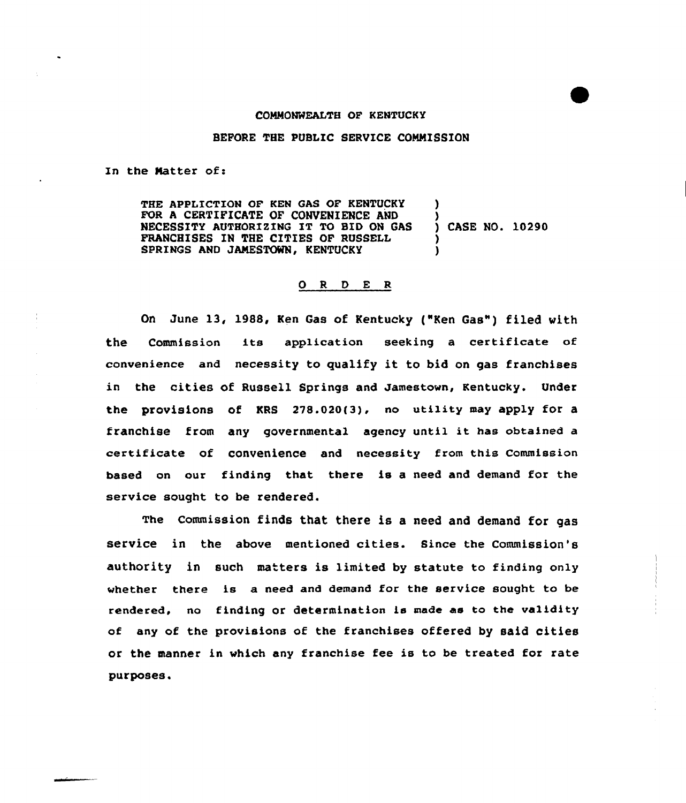## COMMONWEALTH OF KENTUCKY

## BEFORE THE PUBLIC SERVICE COMMISSION

In the Matter of:

THE APPLICTION OF KEN GAS OF KENTUCKY FOR A CERTIFICATE OF CONVENIENCE AND NECESSITY AUTHORI2INQ IT TO BID ON GAS FRANCHISES IN THE CITIES OF RUSSELL SPRINGS AND JAMESTOWN, KENTUCKY ) ) ) CASE NO. 10290 ) )

## 0 R 0 E <sup>R</sup>

On June 13, 1988, Ken Gas of Kentucky ("Ken Gas") filed with the Commission its application seeking <sup>a</sup> certificate of convenience and necessity to qualify it to bid on gas franchises in the cities of Russell Springs and Jamestown, Kentucky. Under the provisions of KRS 278.020(3), no utility may apply for a franchise from any governmental agency until it has obtained <sup>a</sup> certificate of convenience and necessity from this Commission based on our finding that there is a need and demand for the service sought to be rendered.

The Commission finds that there is a need and demand for gas service in the above mentioned cities. Since the Commission's authority in such matters is limited by statute to finding only whether there is a need and demand for the service sought to be rendered, no finding or determination is made as to the validity of any of the provisions of the franchises offered by said cities or the manner in which any franchise fee is to be treated for rate purposes.